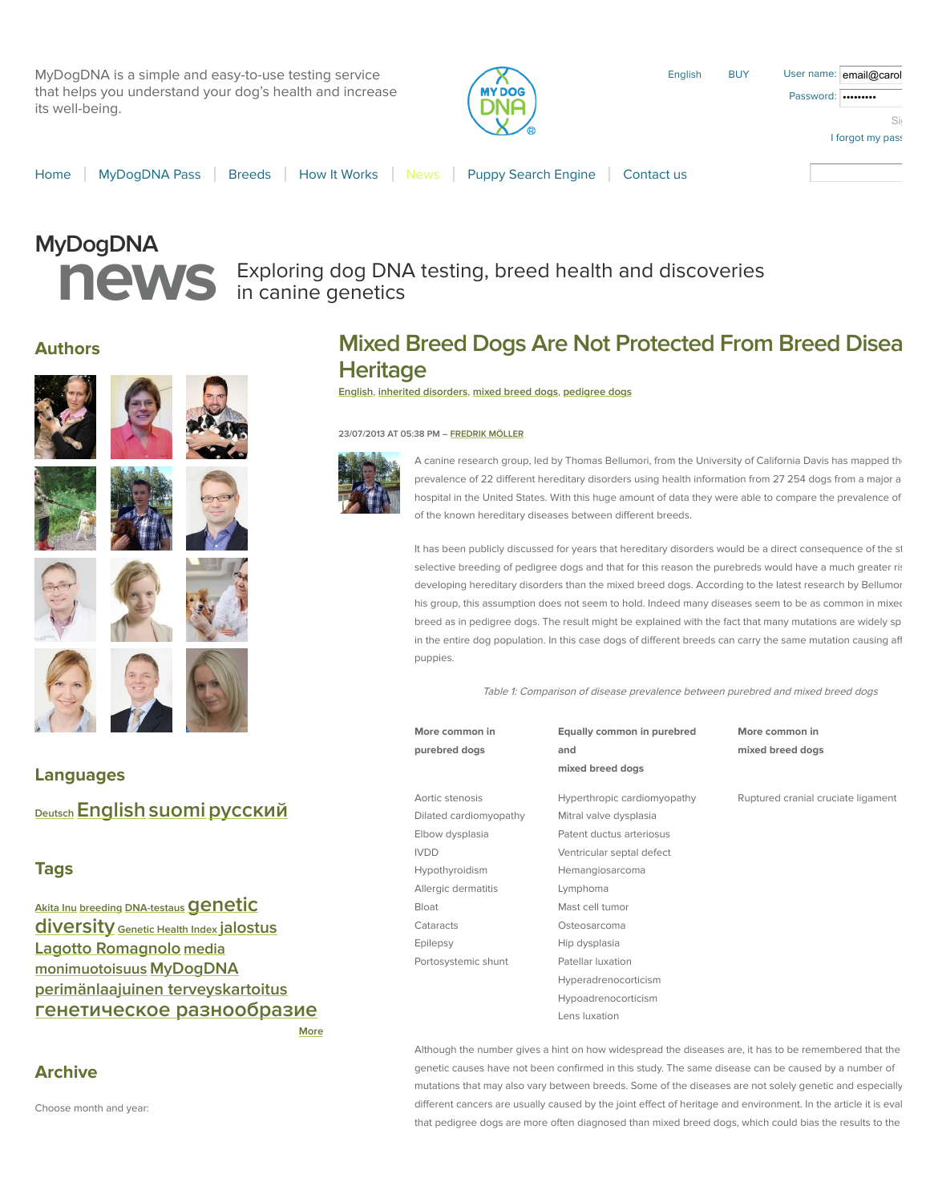MyDogDNA is a simple and easy-to-use testing service that helps you understand your dog's health and increase its well-being.



English [BUY](http://www.mydogdna.com/shopping-cart) User name: email@carol

| anne. email@carol  |  |
|--------------------|--|
| vord:   •••••••••• |  |
| Si                 |  |
| I forgot my pass   |  |

Passy

[Home](http://www.mydogdna.com/home) | [MyDogDNA Pass](http://www.mydogdna.com/dnapass) | [Breeds](http://www.mydogdna.com/breeds) | [How It Works](http://www.mydogdna.com/how-it-works) | [News](http://www.mydogdna.com/blog) | [Puppy Search Engine](http://www.mydogdna.com/puppy-search-engine) | [Contact us](http://www.mydogdna.com/contact-us)

# **MyDogDNA**

## **news** Exploring dog DNA testing, breed health and discoveries<br> **news** in canine genetics in canine genetics

### **Authors**















## **Mixed Breed Dogs Are Not Protected From Breed Disea Heritage**

**[English](http://www.mydogdna.com/blog/languages/english)**, **[inherited disorders](http://www.mydogdna.com/blog/tags/inherited-disorders)**, **[mixed breed dogs](http://www.mydogdna.com/blog/tags/mixed-breed-dogs)**, **[pedigree dogs](http://www.mydogdna.com/blog/tags/pedigree-dogs)**

#### **23/07/2013 AT 05:38 PM – [FREDRIK MÖLLER](http://www.mydogdna.com/blog/author/fredrik-moller)**



A canine research group, led by Thomas Bellumori, from the University of California Davis has mapped the prevalence of 22 different hereditary disorders using health information from 27 254 dogs from a major animal hospital in the United States. With this huge amount of data they were able to compare the prevalence of of the known hereditary diseases between different breeds.

It has been publicly discussed for years that hereditary disorders would be a direct consequence of the st selective breeding of pedigree dogs and that for this reason the purebreds would have a much greater ris developing hereditary disorders than the mixed breed dogs. According to the latest research by Bellumor his group, this assumption does not seem to hold. Indeed many diseases seem to be as common in mixed breed as in pedigree dogs. The result might be explained with the fact that many mutations are widely sp in the entire dog population. In this case dogs of different breeds can carry the same mutation causing aff puppies.

Table 1: Comparison of disease prevalence between purebred and mixed breed dogs

| More common in |  |
|----------------|--|
| purebred dogs  |  |

Dilated cardiomyopathy Mitral valve dysplasia Elbow dysplasia Patent ductus arteriosus IVDD Ventricular septal defect Hypothyroidism Hemangiosarcoma Allergic dermatitis Lymphoma Bloat Mast cell tumor Cataracts Osteosarcoma Epilepsy Hip dysplasia Portosystemic shunt Patellar luxation

**Equally common in purebred and mixed breed dogs**

Hyperadrenocorticism Hypoadrenocorticism Lens luxation

**More common in mixed breed dogs**

Aortic stenosis **Hyperthropic cardiomyopathy** Ruptured cranial cruciate ligament

## **[Deutsch](http://www.mydogdna.com/blog/languages/deutsch)[English](http://www.mydogdna.com/blog/languages/english)[suomi](http://www.mydogdna.com/blog/languages/suomi)[русский](http://www.mydogdna.com/blog/languages/russkiy)**

#### **Tags**

**Languages**

**[Akita Inu](http://www.mydogdna.com/blog/tags/akita-inu) [breeding](http://www.mydogdna.com/blog/tags/breeding) DNA-testaus Genetic diversity [Genetic Health Index](http://www.mydogdna.com/blog/tags/genetic-health-index) [jalostus](http://www.mydogdna.com/blog/tags/jalostus) [Lagotto Romagnolo](http://www.mydogdna.com/blog/tags/lagotto-romagnolo) [media](http://www.mydogdna.com/blog/tags/media) [monimuotoisuus](http://www.mydogdna.com/blog/tags/monimuotoisuus) [MyDogDNA](http://www.mydogdna.com/blog/tags/mydogdna) [perimänlaajuinen terveyskartoitus](http://www.mydogdna.com/blog/tags/perimanlaajuinen-terveyskartoitus) [генетическое разнообразие](http://www.mydogdna.com/blog/tags/geneticheskoe-raznoobrazie)**

```
More
```
Although the number gives a hint on how widespread the diseases are, it has to be remembered that the genetic causes have not been confirmed in this study. The same disease can be caused by a number of mutations that may also vary between breeds. Some of the diseases are not solely genetic and especially different cancers are usually caused by the joint effect of heritage and environment. In the article it is eval that pedigree dogs are more often diagnosed than mixed breed dogs, which could bias the results to the

#### **Archive**

Choose month and year: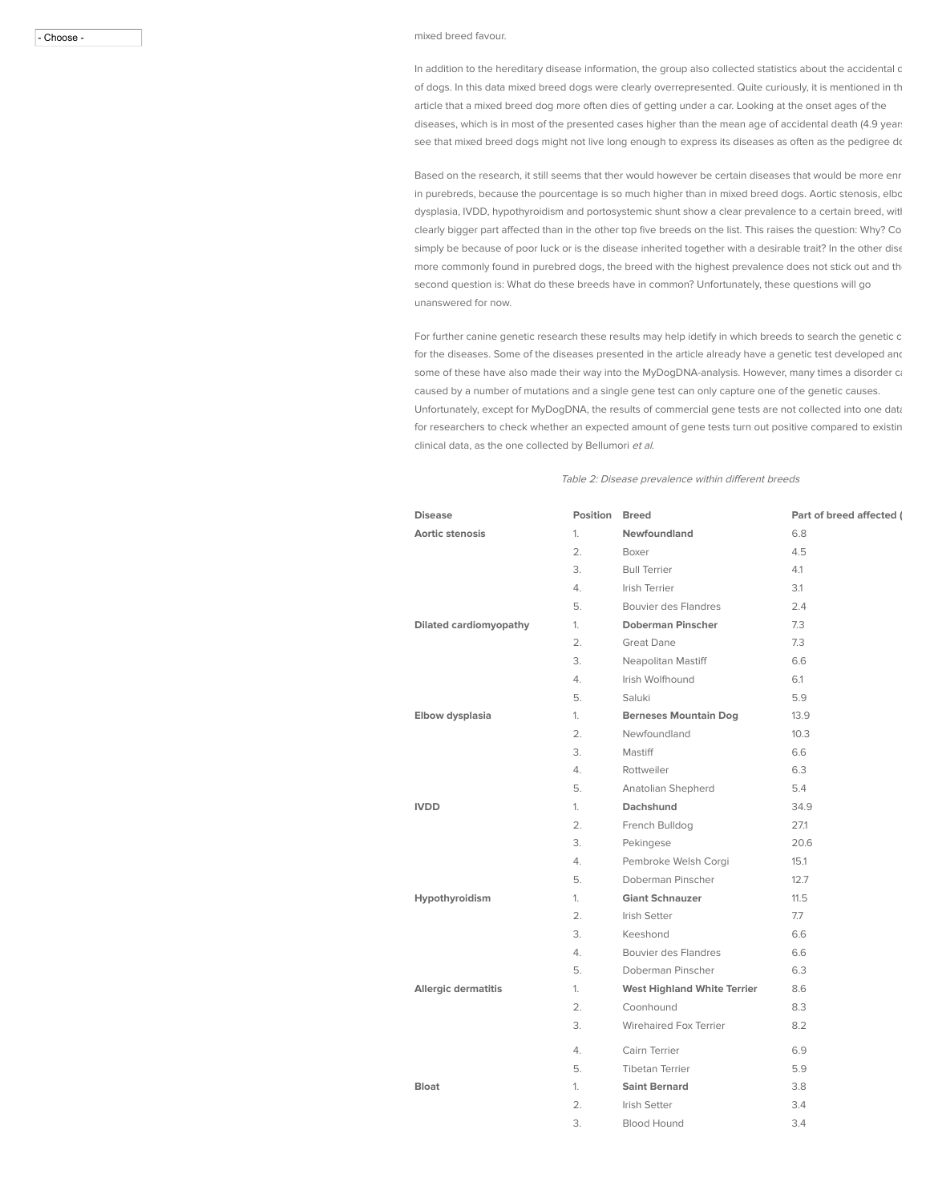#### - Choose - mixed breed favour.

In addition to the hereditary disease information, the group also collected statistics about the accidental death of dogs. In this data mixed breed dogs were clearly overrepresented. Quite curiously, it is mentioned in th article that a mixed breed dog more often dies of getting under a car. Looking at the onset ages of the diseases, which is in most of the presented cases higher than the mean age of accidental death (4.9 year: see that mixed breed dogs might not live long enough to express its diseases as often as the pedigree do

Based on the research, it still seems that ther would however be certain diseases that would be more enr in purebreds, because the pourcentage is so much higher than in mixed breed dogs. Aortic stenosis, elbc dysplasia, IVDD, hypothyroidism and portosystemic shunt show a clear prevalence to a certain breed, witl clearly bigger part affected than in the other top five breeds on the list. This raises the question: Why? Co simply be because of poor luck or is the disease inherited together with a desirable trait? In the other dise more commonly found in purebred dogs, the breed with the highest prevalence does not stick out and the second question is: What do these breeds have in common? Unfortunately, these questions will go unanswered for now.

For further canine genetic research these results may help idetify in which breeds to search the genetic c for the diseases. Some of the diseases presented in the article already have a genetic test developed and some of these have also made their way into the MyDogDNA-analysis. However, many times a disorder ca caused by a number of mutations and a single gene test can only capture one of the genetic causes. Unfortunately, except for MyDogDNA, the results of commercial gene tests are not collected into one data for researchers to check whether an expected amount of gene tests turn out positive compared to existin clinical data, as the one collected by Bellumori et al.

Table 2: Disease prevalence within different breeds

| <b>Disease</b>             | <b>Position Breed</b> |                                    | Part of breed affected ( |
|----------------------------|-----------------------|------------------------------------|--------------------------|
| Aortic stenosis            | 1.                    | Newfoundland                       | 6.8                      |
|                            | 2.                    | Boxer                              | 4.5                      |
|                            | 3.                    | <b>Bull Terrier</b>                | 4.1                      |
|                            | 4.                    | Irish Terrier                      | 3.1                      |
|                            | 5.                    | Bouvier des Flandres               | 2.4                      |
| Dilated cardiomyopathy     | 1.                    | <b>Doberman Pinscher</b>           | 7.3                      |
|                            | 2.                    | <b>Great Dane</b>                  | 7.3                      |
|                            | 3.                    | Neapolitan Mastiff                 | 6.6                      |
|                            | 4.                    | Irish Wolfhound                    | 6.1                      |
|                            | 5.                    | Saluki                             | 5.9                      |
| Elbow dysplasia            | 1.                    | <b>Berneses Mountain Dog</b>       | 13.9                     |
|                            | 2.                    | Newfoundland                       | 10.3                     |
|                            | 3.                    | Mastiff                            | 6.6                      |
|                            | 4.                    | Rottweiler                         | 6.3                      |
|                            | 5.                    | Anatolian Shepherd                 | 5.4                      |
| <b>IVDD</b>                | 1.                    | Dachshund                          | 34.9                     |
|                            | 2.                    | French Bulldog                     | 27.1                     |
|                            | 3.                    | Pekingese                          | 20.6                     |
|                            | 4.                    | Pembroke Welsh Corgi               | 15.1                     |
|                            | 5.                    | Doberman Pinscher                  | 12.7                     |
| Hypothyroidism             | 1.                    | <b>Giant Schnauzer</b>             | 11.5                     |
|                            | 2.                    | Irish Setter                       | 7.7                      |
|                            | 3.                    | Keeshond                           | 6.6                      |
|                            | 4.                    | Bouvier des Flandres               | 6.6                      |
|                            | 5.                    | Doberman Pinscher                  | 6.3                      |
| <b>Allergic dermatitis</b> | 1.                    | <b>West Highland White Terrier</b> | 8.6                      |
|                            | 2.                    | Coonhound                          | 8.3                      |
|                            | 3.                    | Wirehaired Fox Terrier             | 8.2                      |
|                            | 4.                    | Cairn Terrier                      | 6.9                      |
|                            | 5.                    | <b>Tibetan Terrier</b>             | 5.9                      |
| <b>Bloat</b>               | 1.                    | <b>Saint Bernard</b>               | 3.8                      |
|                            | 2.                    | <b>Irish Setter</b>                | 3.4                      |
|                            | 3.                    | <b>Blood Hound</b>                 | 3.4                      |